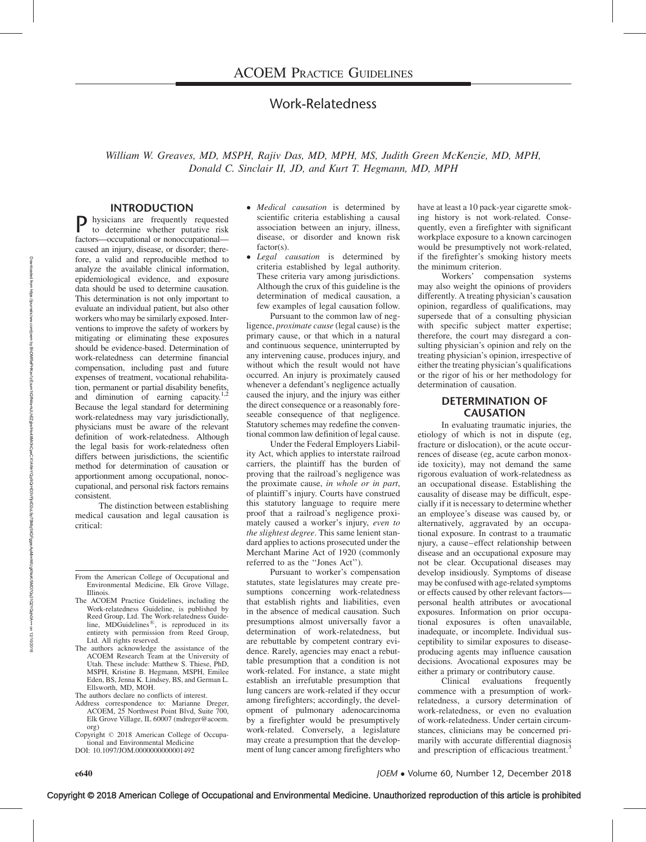# Work-Relatedness

William W. Greaves, MD, MSPH, Rajiv Das, MD, MPH, MS, Judith Green McKenzie, MD, MPH, Donald C. Sinclair II, JD, and Kurt T. Hegmann, MD, MPH

## INTRODUCTION

**P** hysicians are frequently requested to determine whether putative risk factors—occupational or nonoccupational caused an injury, disease, or disorder; therefore, a valid and reproducible method to analyze the available clinical information, epidemiological evidence, and exposure data should be used to determine causation. This determination is not only important to evaluate an individual patient, but also other workers who may be similarly exposed. Interventions to improve the safety of workers by mitigating or eliminating these exposures should be evidence-based. Determination of work-relatedness can determine financial compensation, including past and future expenses of treatment, vocational rehabilitation, permanent or partial disability benefits, and diminution of earning capacity.<sup>1,2</sup> Because the legal standard for determining work-relatedness may vary jurisdictionally, physicians must be aware of the relevant definition of work-relatedness. Although the legal basis for work-relatedness often differs between jurisdictions, the scientific method for determination of causation or apportionment among occupational, nonoccupational, and personal risk factors remains consistent.

The distinction between establishing medical causation and legal causation is critical:

- From the American College of Occupational and Environmental Medicine, Elk Grove Village, Illinois.
- The ACOEM Practice Guidelines, including the Work-relatedness Guideline, is published by Reed Group, Ltd. The Work-relatedness Guideline, MDGuidelines<sup>®</sup>, is reproduced in its entirety with permission from Reed Group, Ltd. All rights reserved.
- The authors acknowledge the assistance of the ACOEM Research Team at the University of Utah. These include: Matthew S. Thiese, PhD, MSPH, Kristine B. Hegmann, MSPH, Emilee Eden, BS, Jenna K. Lindsey, BS, and German L. Ellsworth, MD, MOH.
- The authors declare no conflicts of interest.
- Address correspondence to: Marianne Dreger, ACOEM, 25 Northwest Point Blvd, Suite 700, Elk Grove Village, IL 60007 ([mdreger@acoem.](mailto:mdreger@acoem.org) [org\)](mailto:mdreger@acoem.org)
- Copyright © 2018 American College of Occupational and Environmental Medicine

DOI: 10.1097/JOM.0000000000001492

- Medical causation is determined by scientific criteria establishing a causal association between an injury, illness, disease, or disorder and known risk factor(s).
- Legal causation is determined by criteria established by legal authority. These criteria vary among jurisdictions. Although the crux of this guideline is the determination of medical causation, a few examples of legal causation follow.

Pursuant to the common law of negligence, proximate cause (legal cause) is the primary cause, or that which in a natural and continuous sequence, uninterrupted by any intervening cause, produces injury, and without which the result would not have occurred. An injury is proximately caused whenever a defendant's negligence actually caused the injury, and the injury was either the direct consequence or a reasonably foreseeable consequence of that negligence. Statutory schemes may redefine the conventional common law definition of legal cause.

Under the Federal Employers Liability Act, which applies to interstate railroad carriers, the plaintiff has the burden of proving that the railroad's negligence was the proximate cause, in whole or in part, of plaintiff's injury. Courts have construed this statutory language to require mere proof that a railroad's negligence proximately caused a worker's injury, even to the slightest degree. This same lenient standard applies to actions prosecuted under the Merchant Marine Act of 1920 (commonly referred to as the ''Jones Act'').

Pursuant to worker's compensation statutes, state legislatures may create presumptions concerning work-relatedness that establish rights and liabilities, even in the absence of medical causation. Such presumptions almost universally favor a determination of work-relatedness, but are rebuttable by competent contrary evidence. Rarely, agencies may enact a rebuttable presumption that a condition is not work-related. For instance, a state might establish an irrefutable presumption that lung cancers are work-related if they occur among firefighters; accordingly, the development of pulmonary adenocarcinoma by a firefighter would be presumptively work-related. Conversely, a legislature may create a presumption that the development of lung cancer among firefighters who have at least a 10 pack-year cigarette smoking history is not work-related. Consequently, even a firefighter with significant workplace exposure to a known carcinogen would be presumptively not work-related, if the firefighter's smoking history meets the minimum criterion.

Workers' compensation systems may also weight the opinions of providers differently. A treating physician's causation opinion, regardless of qualifications, may supersede that of a consulting physician with specific subject matter expertise; therefore, the court may disregard a consulting physician's opinion and rely on the treating physician's opinion, irrespective of either the treating physician's qualifications or the rigor of his or her methodology for determination of causation.

#### DETERMINATION OF CAUSATION

In evaluating traumatic injuries, the etiology of which is not in dispute (eg, fracture or dislocation), or the acute occurrences of disease (eg, acute carbon monoxide toxicity), may not demand the same rigorous evaluation of work-relatedness as an occupational disease. Establishing the causality of disease may be difficult, especially if it is necessary to determine whether an employee's disease was caused by, or alternatively, aggravated by an occupational exposure. In contrast to a traumatic njury, a cause–effect relationship between disease and an occupational exposure may not be clear. Occupational diseases may develop insidiously. Symptoms of disease may be confused with age-related symptoms or effects caused by other relevant factors personal health attributes or avocational exposures. Information on prior occupational exposures is often unavailable, inadequate, or incomplete. Individual susceptibility to similar exposures to diseaseproducing agents may influence causation decisions. Avocational exposures may be either a primary or contributory cause.

Clinical evaluations frequently commence with a presumption of workrelatedness, a cursory determination of work-relatedness, or even no evaluation of work-relatedness. Under certain circumstances, clinicians may be concerned primarily with accurate differential diagnosis and prescription of efficacious treatment.<sup>3</sup>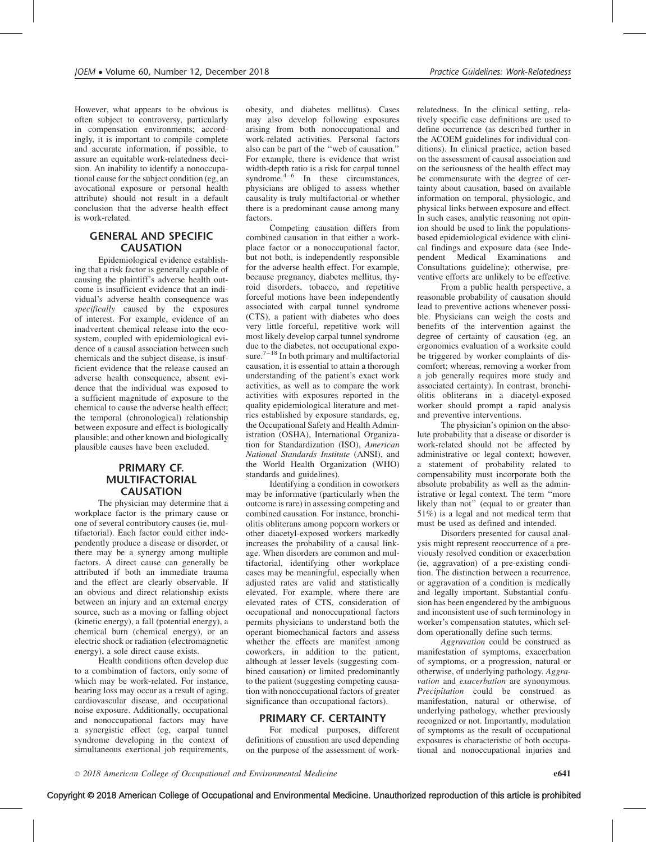However, what appears to be obvious is often subject to controversy, particularly in compensation environments; accordingly, it is important to compile complete and accurate information, if possible, to assure an equitable work-relatedness decision. An inability to identify a nonoccupational cause for the subject condition (eg, an avocational exposure or personal health attribute) should not result in a default conclusion that the adverse health effect is work-related.

#### GENERAL AND SPECIFIC CAUSATION

Epidemiological evidence establishing that a risk factor is generally capable of causing the plaintiff's adverse health outcome is insufficient evidence that an individual's adverse health consequence was specifically caused by the exposures of interest. For example, evidence of an inadvertent chemical release into the ecosystem, coupled with epidemiological evidence of a causal association between such chemicals and the subject disease, is insufficient evidence that the release caused an adverse health consequence, absent evidence that the individual was exposed to a sufficient magnitude of exposure to the chemical to cause the adverse health effect; the temporal (chronological) relationship between exposure and effect is biologically plausible; and other known and biologically plausible causes have been excluded.

#### PRIMARY CF. MULTIFACTORIAL **CAUSATION**

The physician may determine that a workplace factor is the primary cause or one of several contributory causes (ie, multifactorial). Each factor could either independently produce a disease or disorder, or there may be a synergy among multiple factors. A direct cause can generally be attributed if both an immediate trauma and the effect are clearly observable. If an obvious and direct relationship exists between an injury and an external energy source, such as a moving or falling object (kinetic energy), a fall (potential energy), a chemical burn (chemical energy), or an electric shock or radiation (electromagnetic energy), a sole direct cause exists.

Health conditions often develop due to a combination of factors, only some of which may be work-related. For instance, hearing loss may occur as a result of aging, cardiovascular disease, and occupational noise exposure. Additionally, occupational and nonoccupational factors may have a synergistic effect (eg, carpal tunnel syndrome developing in the context of simultaneous exertional job requirements,

obesity, and diabetes mellitus). Cases may also develop following exposures arising from both nonoccupational and work-related activities. Personal factors also can be part of the ''web of causation.'' For example, there is evidence that wrist width-depth ratio is a risk for carpal tunnel syndrome. $4-6$  In these circumstances, physicians are obliged to assess whether causality is truly multifactorial or whether there is a predominant cause among many factors.

Competing causation differs from combined causation in that either a workplace factor or a nonoccupational factor, but not both, is independently responsible for the adverse health effect. For example, because pregnancy, diabetes mellitus, thyroid disorders, tobacco, and repetitive forceful motions have been independently associated with carpal tunnel syndrome (CTS), a patient with diabetes who does very little forceful, repetitive work will most likely develop carpal tunnel syndrome due to the diabetes, not occupational exposure.<sup>7-18</sup> In both primary and multifactorial causation, it is essential to attain a thorough understanding of the patient's exact work activities, as well as to compare the work activities with exposures reported in the quality epidemiological literature and metrics established by exposure standards, eg, the Occupational Safety and Health Administration (OSHA), International Organization for Standardization (ISO), American National Standards Institute (ANSI), and the World Health Organization (WHO) standards and guidelines).

Identifying a condition in coworkers may be informative (particularly when the outcome is rare) in assessing competing and combined causation. For instance, bronchiolitis obliterans among popcorn workers or other diacetyl-exposed workers markedly increases the probability of a causal linkage. When disorders are common and multifactorial, identifying other workplace cases may be meaningful, especially when adjusted rates are valid and statistically elevated. For example, where there are elevated rates of CTS, consideration of occupational and nonoccupational factors permits physicians to understand both the operant biomechanical factors and assess whether the effects are manifest among coworkers, in addition to the patient, although at lesser levels (suggesting combined causation) or limited predominantly to the patient (suggesting competing causation with nonoccupational factors of greater significance than occupational factors).

## PRIMARY CF. CERTAINTY

For medical purposes, different definitions of causation are used depending on the purpose of the assessment of workrelatedness. In the clinical setting, relatively specific case definitions are used to define occurrence (as described further in the ACOEM guidelines for individual conditions). In clinical practice, action based on the assessment of causal association and on the seriousness of the health effect may be commensurate with the degree of certainty about causation, based on available information on temporal, physiologic, and physical links between exposure and effect. In such cases, analytic reasoning not opinion should be used to link the populationsbased epidemiological evidence with clinical findings and exposure data (see Independent Medical Examinations and Consultations guideline); otherwise, preventive efforts are unlikely to be effective.

From a public health perspective, a reasonable probability of causation should lead to preventive actions whenever possible. Physicians can weigh the costs and benefits of the intervention against the degree of certainty of causation (eg, an ergonomics evaluation of a worksite could be triggered by worker complaints of discomfort; whereas, removing a worker from a job generally requires more study and associated certainty). In contrast, bronchiolitis obliterans in a diacetyl-exposed worker should prompt a rapid analysis and preventive interventions.

The physician's opinion on the absolute probability that a disease or disorder is work-related should not be affected by administrative or legal context; however, a statement of probability related to compensability must incorporate both the absolute probability as well as the administrative or legal context. The term ''more likely than not'' (equal to or greater than 51%) is a legal and not medical term that must be used as defined and intended.

Disorders presented for causal analysis might represent reoccurrence of a previously resolved condition or exacerbation (ie, aggravation) of a pre-existing condition. The distinction between a recurrence, or aggravation of a condition is medically and legally important. Substantial confusion has been engendered by the ambiguous and inconsistent use of such terminology in worker's compensation statutes, which seldom operationally define such terms.

Aggravation could be construed as manifestation of symptoms, exacerbation of symptoms, or a progression, natural or otherwise, of underlying pathology. Aggravation and exacerbation are synonymous. Precipitation could be construed as manifestation, natural or otherwise, of underlying pathology, whether previously recognized or not. Importantly, modulation of symptoms as the result of occupational exposures is characteristic of both occupational and nonoccupational injuries and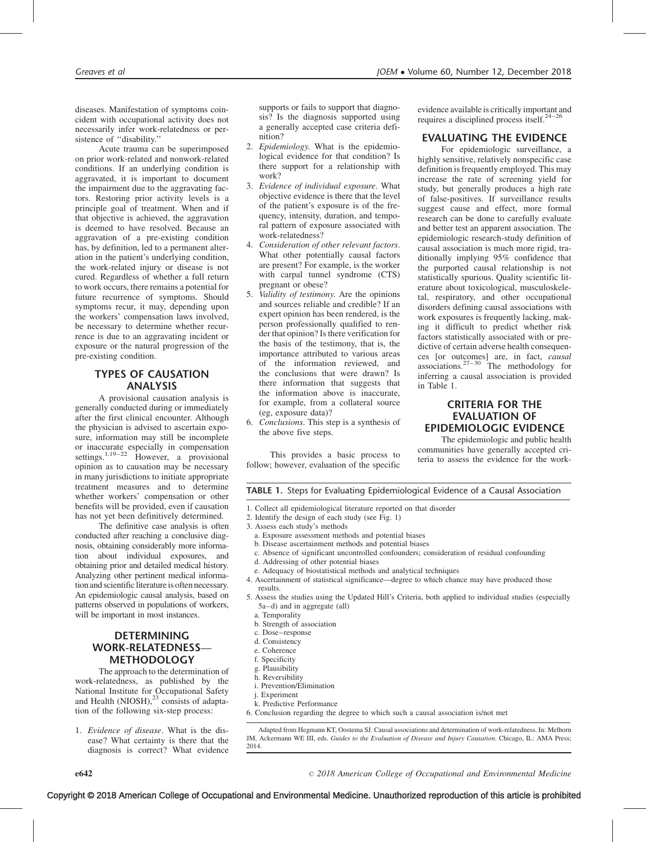diseases. Manifestation of symptoms coincident with occupational activity does not necessarily infer work-relatedness or persistence of ''disability.''

Acute trauma can be superimposed on prior work-related and nonwork-related conditions. If an underlying condition is aggravated, it is important to document the impairment due to the aggravating factors. Restoring prior activity levels is a principle goal of treatment. When and if that objective is achieved, the aggravation is deemed to have resolved. Because an aggravation of a pre-existing condition has, by definition, led to a permanent alteration in the patient's underlying condition, the work-related injury or disease is not cured. Regardless of whether a full return to work occurs, there remains a potential for future recurrence of symptoms. Should symptoms recur, it may, depending upon the workers' compensation laws involved, be necessary to determine whether recurrence is due to an aggravating incident or exposure or the natural progression of the pre-existing condition.

## TYPES OF CAUSATION ANALYSIS

A provisional causation analysis is generally conducted during or immediately after the first clinical encounter. Although the physician is advised to ascertain exposure, information may still be incomplete or inaccurate especially in compensation settings.<sup>1,19–22</sup> However, a provisional opinion as to causation may be necessary in many jurisdictions to initiate appropriate treatment measures and to determine whether workers' compensation or other benefits will be provided, even if causation has not yet been definitively determined.

The definitive case analysis is often conducted after reaching a conclusive diagnosis, obtaining considerably more information about individual exposures, and obtaining prior and detailed medical history. Analyzing other pertinent medical information and scientific literature is often necessary. An epidemiologic causal analysis, based on patterns observed in populations of workers, will be important in most instances.

#### DETERMINING WORK-RELATEDNESS— **METHODOLOGY**

The approach to the determination of work-relatedness, as published by the National Institute for Occupational Safety and Health  $(NIOSH)$ ,<sup>23</sup> consists of adaptation of the following six-step process:

1. Evidence of disease. What is the disease? What certainty is there that the diagnosis is correct? What evidence supports or fails to support that diagnosis? Is the diagnosis supported using a generally accepted case criteria definition?

- 2. Epidemiology. What is the epidemiological evidence for that condition? Is there support for a relationship with work?
- 3. Evidence of individual exposure. What objective evidence is there that the level of the patient's exposure is of the frequency, intensity, duration, and temporal pattern of exposure associated with work-relatedness?
- 4. Consideration of other relevant factors. What other potentially causal factors are present? For example, is the worker with carpal tunnel syndrome (CTS) pregnant or obese?
- 5. Validity of testimony. Are the opinions and sources reliable and credible? If an expert opinion has been rendered, is the person professionally qualified to render that opinion? Is there verification for the basis of the testimony, that is, the importance attributed to various areas of the information reviewed, and the conclusions that were drawn? Is there information that suggests that the information above is inaccurate, for example, from a collateral source (eg, exposure data)?
- 6. Conclusions. This step is a synthesis of the above five steps.

This provides a basic process to follow; however, evaluation of the specific evidence available is critically important and requires a disciplined process itself. $24-26$ 

#### EVALUATING THE EVIDENCE

For epidemiologic surveillance, a highly sensitive, relatively nonspecific case definition is frequently employed. This may increase the rate of screening yield for study, but generally produces a high rate of false-positives. If surveillance results suggest cause and effect, more formal research can be done to carefully evaluate and better test an apparent association. The epidemiologic research-study definition of causal association is much more rigid, traditionally implying 95% confidence that the purported causal relationship is not statistically spurious. Quality scientific literature about toxicological, musculoskeletal, respiratory, and other occupational disorders defining causal associations with work exposures is frequently lacking, making it difficult to predict whether risk factors statistically associated with or predictive of certain adverse health consequences [or outcomes] are, in fact, causal associations. $27-30$  The methodology for inferring a causal association is provided in Table 1.

## CRITERIA FOR THE EVALUATION OF EPIDEMIOLOGIC EVIDENCE

The epidemiologic and public health communities have generally accepted criteria to assess the evidence for the work-

TABLE 1. Steps for Evaluating Epidemiological Evidence of a Causal Association

- 1. Collect all epidemiological literature reported on that disorder
- 2. Identify the design of each study (see Fig. 1)
- 3. Assess each study's methods
	- a. Exposure assessment methods and potential biases
	- b. Disease ascertainment methods and potential biases
	- c. Absence of significant uncontrolled confounders; consideration of residual confounding
	- d. Addressing of other potential biases
- e. Adequacy of biostatistical methods and analytical techniques
- 4. Ascertainment of statistical significance—degree to which chance may have produced those results.
- 5. Assess the studies using the Updated Hill's Criteria, both applied to individual studies (especially 5a–d) and in aggregate (all)
	- a. Temporality
	- b. Strength of association
	- c. Dose–response
	- d. Consistency
	- e. Coherence
	- f. Specificity
	- g. Plausibility
	- h. Reversibility
	- i. Prevention/Elimination
	- j. Experiment
	-
	- k. Predictive Performance

 $e642$   $\degree$ 2018 American College of Occupational and Environmental Medicine

<sup>6.</sup> Conclusion regarding the degree to which such a causal association is/not met

Adapted from Hegmann KT, Oostema SJ. Causal associations and determination of work-relatedness. In: Melhorn JM, Ackermann WE III, eds. Guides to the Evaluation of Disease and Injury Causation. Chicago, IL: AMA Press; 2014.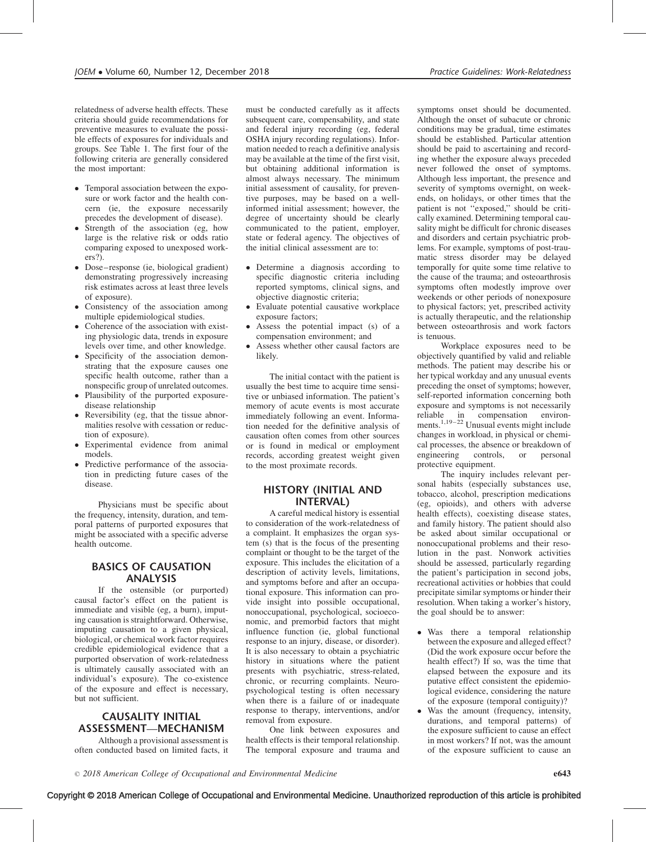relatedness of adverse health effects. These criteria should guide recommendations for preventive measures to evaluate the possible effects of exposures for individuals and groups. See Table 1. The first four of the following criteria are generally considered the most important:

- Temporal association between the exposure or work factor and the health concern (ie, the exposure necessarily precedes the development of disease).
- Strength of the association (eg, how large is the relative risk or odds ratio comparing exposed to unexposed workers?).
- Dose–response (ie, biological gradient) demonstrating progressively increasing risk estimates across at least three levels of exposure).
- Consistency of the association among multiple epidemiological studies.
- Coherence of the association with existing physiologic data, trends in exposure levels over time, and other knowledge.
- Specificity of the association demonstrating that the exposure causes one specific health outcome, rather than a nonspecific group of unrelated outcomes.
- Plausibility of the purported exposuredisease relationship
- $\bullet$  Reversibility (eg, that the tissue abnormalities resolve with cessation or reduction of exposure).
- Experimental evidence from animal models.
- $\bullet$  Predictive performance of the association in predicting future cases of the disease.

Physicians must be specific about the frequency, intensity, duration, and temporal patterns of purported exposures that might be associated with a specific adverse health outcome.

#### BASICS OF CAUSATION ANALYSIS

If the ostensible (or purported) causal factor's effect on the patient is immediate and visible (eg, a burn), imputing causation is straightforward. Otherwise, imputing causation to a given physical, biological, or chemical work factor requires credible epidemiological evidence that a purported observation of work-relatedness is ultimately causally associated with an individual's exposure). The co-existence of the exposure and effect is necessary, but not sufficient.

# CAUSALITY INITIAL ASSESSMENT—MECHANISM

Although a provisional assessment is often conducted based on limited facts, it must be conducted carefully as it affects subsequent care, compensability, and state and federal injury recording (eg, federal OSHA injury recording regulations). Information needed to reach a definitive analysis may be available at the time of the first visit, but obtaining additional information is almost always necessary. The minimum initial assessment of causality, for preventive purposes, may be based on a wellinformed initial assessment; however, the degree of uncertainty should be clearly communicated to the patient, employer, state or federal agency. The objectives of the initial clinical assessment are to:

- Determine a diagnosis according to specific diagnostic criteria including reported symptoms, clinical signs, and objective diagnostic criteria;
- Evaluate potential causative workplace exposure factors;
- Assess the potential impact (s) of a compensation environment; and
- Assess whether other causal factors are likely.

The initial contact with the patient is usually the best time to acquire time sensitive or unbiased information. The patient's memory of acute events is most accurate immediately following an event. Information needed for the definitive analysis of causation often comes from other sources or is found in medical or employment records, according greatest weight given to the most proximate records.

#### HISTORY (INITIAL AND INTERVAL)

A careful medical history is essential to consideration of the work-relatedness of a complaint. It emphasizes the organ system (s) that is the focus of the presenting complaint or thought to be the target of the exposure. This includes the elicitation of a description of activity levels, limitations, and symptoms before and after an occupational exposure. This information can provide insight into possible occupational, nonoccupational, psychological, socioeconomic, and premorbid factors that might influence function (ie, global functional response to an injury, disease, or disorder). It is also necessary to obtain a psychiatric history in situations where the patient presents with psychiatric, stress-related, chronic, or recurring complaints. Neuropsychological testing is often necessary when there is a failure of or inadequate response to therapy, interventions, and/or removal from exposure.

One link between exposures and health effects is their temporal relationship. The temporal exposure and trauma and symptoms onset should be documented. Although the onset of subacute or chronic conditions may be gradual, time estimates should be established. Particular attention should be paid to ascertaining and recording whether the exposure always preceded never followed the onset of symptoms. Although less important, the presence and severity of symptoms overnight, on weekends, on holidays, or other times that the patient is not ''exposed,'' should be critically examined. Determining temporal causality might be difficult for chronic diseases and disorders and certain psychiatric problems. For example, symptoms of post-traumatic stress disorder may be delayed temporally for quite some time relative to the cause of the trauma; and osteoarthrosis symptoms often modestly improve over weekends or other periods of nonexposure to physical factors; yet, prescribed activity is actually therapeutic, and the relationship between osteoarthrosis and work factors is tenuous.

Workplace exposures need to be objectively quantified by valid and reliable methods. The patient may describe his or her typical workday and any unusual events preceding the onset of symptoms; however, self-reported information concerning both exposure and symptoms is not necessarily reliable in compensation environ-<br>ments.<sup>1,19–22</sup> Unusual events might include changes in workload, in physical or chemical processes, the absence or breakdown of engineering controls, or personal protective equipment.

The inquiry includes relevant personal habits (especially substances use, tobacco, alcohol, prescription medications (eg, opioids), and others with adverse health effects), coexisting disease states, and family history. The patient should also be asked about similar occupational or nonoccupational problems and their resolution in the past. Nonwork activities should be assessed, particularly regarding the patient's participation in second jobs, recreational activities or hobbies that could precipitate similar symptoms or hinder their resolution. When taking a worker's history, the goal should be to answer:

- Was there a temporal relationship between the exposure and alleged effect? (Did the work exposure occur before the health effect?) If so, was the time that elapsed between the exposure and its putative effect consistent the epidemiological evidence, considering the nature of the exposure (temporal contiguity)?
- Was the amount (frequency, intensity, durations, and temporal patterns) of the exposure sufficient to cause an effect in most workers? If not, was the amount of the exposure sufficient to cause an

 $\degree$  2018 American College of Occupational and Environmental Medicine e643

Copyright © 2018 American College of Occupational and Environmental Medicine. Unauthorized reproduction of this article is prohibited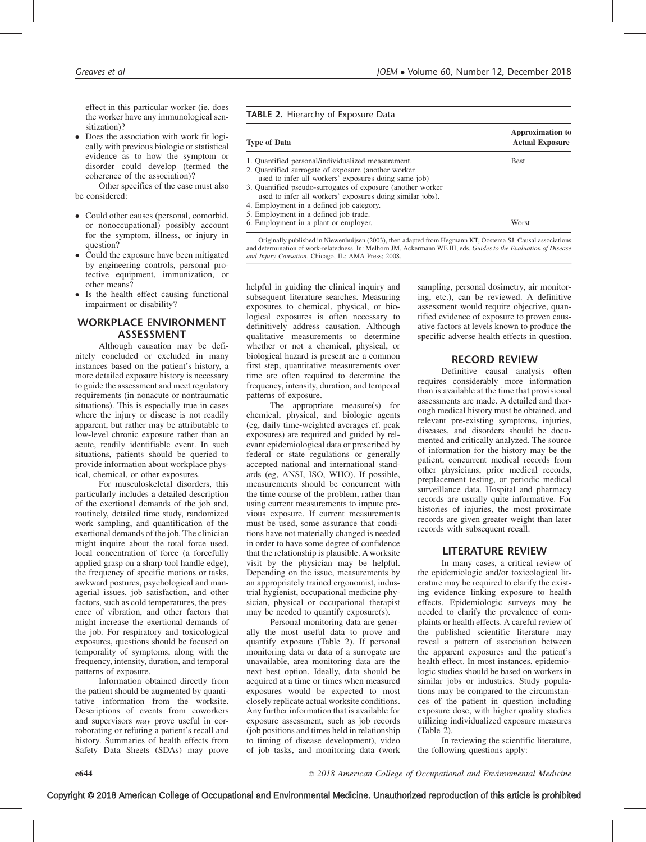effect in this particular worker (ie, does the worker have any immunological sensitization)?

• Does the association with work fit logically with previous biologic or statistical evidence as to how the symptom or disorder could develop (termed the coherence of the association)?

Other specifics of the case must also be considered:

- Could other causes (personal, comorbid, or nonoccupational) possibly account for the symptom, illness, or injury in question?
- $\bullet$  Could the exposure have been mitigated by engineering controls, personal protective equipment, immunization, or other means?
- Is the health effect causing functional impairment or disability?

#### WORKPLACE ENVIRONMENT ASSESSMENT

Although causation may be definitely concluded or excluded in many instances based on the patient's history, a more detailed exposure history is necessary to guide the assessment and meet regulatory requirements (in nonacute or nontraumatic situations). This is especially true in cases where the injury or disease is not readily apparent, but rather may be attributable to low-level chronic exposure rather than an acute, readily identifiable event. In such situations, patients should be queried to provide information about workplace physical, chemical, or other exposures.

For musculoskeletal disorders, this particularly includes a detailed description of the exertional demands of the job and, routinely, detailed time study, randomized work sampling, and quantification of the exertional demands of the job. The clinician might inquire about the total force used, local concentration of force (a forcefully applied grasp on a sharp tool handle edge), the frequency of specific motions or tasks, awkward postures, psychological and managerial issues, job satisfaction, and other factors, such as cold temperatures, the presence of vibration, and other factors that might increase the exertional demands of the job. For respiratory and toxicological exposures, questions should be focused on temporality of symptoms, along with the frequency, intensity, duration, and temporal patterns of exposure.

Information obtained directly from the patient should be augmented by quantitative information from the worksite. Descriptions of events from coworkers and supervisors may prove useful in corroborating or refuting a patient's recall and history. Summaries of health effects from Safety Data Sheets (SDAs) may prove

#### TABLE 2. Hierarchy of Exposure Data

| Type of Data                                                | <b>Approximation to</b><br><b>Actual Exposure</b> |
|-------------------------------------------------------------|---------------------------------------------------|
| 1. Quantified personal/individualized measurement.          | <b>Best</b>                                       |
| 2. Quantified surrogate of exposure (another worker         |                                                   |
| used to infer all workers' exposures doing same job)        |                                                   |
| 3. Quantified pseudo-surrogates of exposure (another worker |                                                   |
| used to infer all workers' exposures doing similar jobs).   |                                                   |
| 4. Employment in a defined job category.                    |                                                   |
| 5. Employment in a defined job trade.                       |                                                   |
| 6. Employment in a plant or employer.                       | Worst                                             |
|                                                             |                                                   |

Originally published in Niewenhuijsen (2003), then adapted from Hegmann KT, Oostema SJ. Causal associations and determination of work-relatedness. In: Melhorn JM, Ackermann WE III, eds. Guides to the Evaluation of Disease and Injury Causation. Chicago, IL: AMA Press; 2008.

helpful in guiding the clinical inquiry and subsequent literature searches. Measuring exposures to chemical, physical, or biological exposures is often necessary to definitively address causation. Although qualitative measurements to determine whether or not a chemical, physical, or biological hazard is present are a common first step, quantitative measurements over time are often required to determine the frequency, intensity, duration, and temporal patterns of exposure.

The appropriate measure(s) for chemical, physical, and biologic agents (eg, daily time-weighted averages cf. peak exposures) are required and guided by relevant epidemiological data or prescribed by federal or state regulations or generally accepted national and international standards (eg, ANSI, ISO, WHO). If possible, measurements should be concurrent with the time course of the problem, rather than using current measurements to impute previous exposure. If current measurements must be used, some assurance that conditions have not materially changed is needed in order to have some degree of confidence that the relationship is plausible. A worksite visit by the physician may be helpful. Depending on the issue, measurements by an appropriately trained ergonomist, industrial hygienist, occupational medicine physician, physical or occupational therapist may be needed to quantify exposure(s).

Personal monitoring data are generally the most useful data to prove and quantify exposure (Table 2). If personal monitoring data or data of a surrogate are unavailable, area monitoring data are the next best option. Ideally, data should be acquired at a time or times when measured exposures would be expected to most closely replicate actual worksite conditions. Any further information that is available for exposure assessment, such as job records (job positions and times held in relationship to timing of disease development), video of job tasks, and monitoring data (work

sampling, personal dosimetry, air monitoring, etc.), can be reviewed. A definitive assessment would require objective, quantified evidence of exposure to proven causative factors at levels known to produce the specific adverse health effects in question.

#### RECORD REVIEW

Definitive causal analysis often requires considerably more information than is available at the time that provisional assessments are made. A detailed and thorough medical history must be obtained, and relevant pre-existing symptoms, injuries, diseases, and disorders should be documented and critically analyzed. The source of information for the history may be the patient, concurrent medical records from other physicians, prior medical records, preplacement testing, or periodic medical surveillance data. Hospital and pharmacy records are usually quite informative. For histories of injuries, the most proximate records are given greater weight than later records with subsequent recall.

#### LITERATURE REVIEW

In many cases, a critical review of the epidemiologic and/or toxicological literature may be required to clarify the existing evidence linking exposure to health effects. Epidemiologic surveys may be needed to clarify the prevalence of complaints or health effects. A careful review of the published scientific literature may reveal a pattern of association between the apparent exposures and the patient's health effect. In most instances, epidemiologic studies should be based on workers in similar jobs or industries. Study populations may be compared to the circumstances of the patient in question including exposure dose, with higher quality studies utilizing individualized exposure measures (Table 2).

In reviewing the scientific literature, the following questions apply: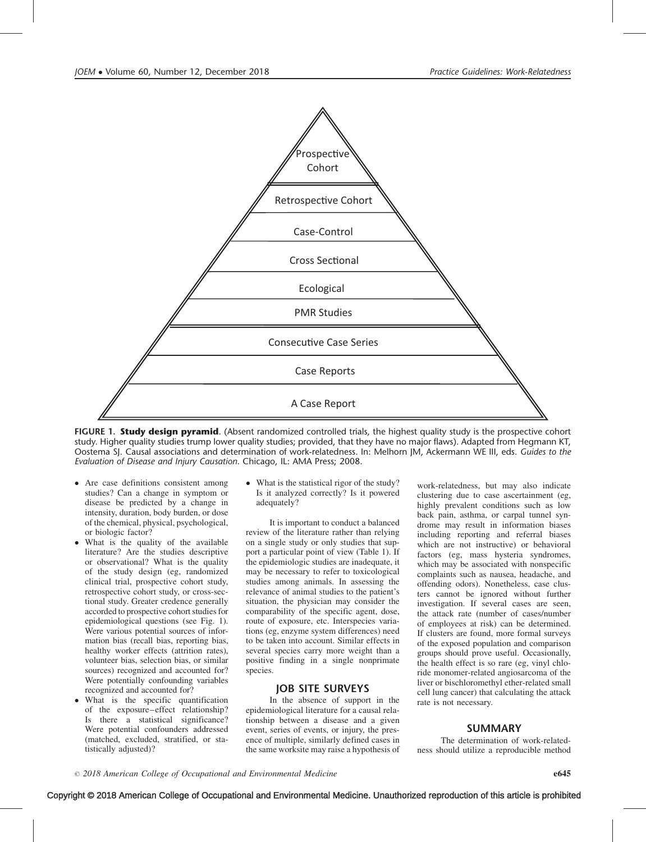

FIGURE 1. Study design pyramid. (Absent randomized controlled trials, the highest quality study is the prospective cohort study. Higher quality studies trump lower quality studies; provided, that they have no major flaws). Adapted from Hegmann KT, Oostema SJ. Causal associations and determination of work-relatedness. In: Melhorn JM, Ackermann WE III, eds. Guides to the Evaluation of Disease and Injury Causation. Chicago, IL: AMA Press; 2008.

- Are case definitions consistent among studies? Can a change in symptom or disease be predicted by a change in intensity, duration, body burden, or dose of the chemical, physical, psychological, or biologic factor?
- What is the quality of the available literature? Are the studies descriptive or observational? What is the quality of the study design (eg, randomized clinical trial, prospective cohort study, retrospective cohort study, or cross-sectional study. Greater credence generally accorded to prospective cohort studies for epidemiological questions (see Fig. 1). Were various potential sources of information bias (recall bias, reporting bias, healthy worker effects (attrition rates), volunteer bias, selection bias, or similar sources) recognized and accounted for? Were potentially confounding variables recognized and accounted for?
- $\bullet$  What is the specific quantification of the exposure–effect relationship? Is there a statistical significance? Were potential confounders addressed (matched, excluded, stratified, or statistically adjusted)?

• What is the statistical rigor of the study? Is it analyzed correctly? Is it powered adequately?

It is important to conduct a balanced review of the literature rather than relying on a single study or only studies that support a particular point of view (Table 1). If the epidemiologic studies are inadequate, it may be necessary to refer to toxicological studies among animals. In assessing the relevance of animal studies to the patient's situation, the physician may consider the comparability of the specific agent, dose, route of exposure, etc. Interspecies variations (eg, enzyme system differences) need to be taken into account. Similar effects in several species carry more weight than a positive finding in a single nonprimate species.

#### JOB SITE SURVEYS

In the absence of support in the epidemiological literature for a causal relationship between a disease and a given event, series of events, or injury, the presence of multiple, similarly defined cases in the same worksite may raise a hypothesis of work-relatedness, but may also indicate clustering due to case ascertainment (eg, highly prevalent conditions such as low back pain, asthma, or carpal tunnel syndrome may result in information biases including reporting and referral biases which are not instructive) or behavioral factors (eg, mass hysteria syndromes, which may be associated with nonspecific complaints such as nausea, headache, and offending odors). Nonetheless, case clusters cannot be ignored without further investigation. If several cases are seen, the attack rate (number of cases/number of employees at risk) can be determined. If clusters are found, more formal surveys of the exposed population and comparison groups should prove useful. Occasionally, the health effect is so rare (eg, vinyl chloride monomer-related angiosarcoma of the liver or bischloromethyl ether-related small cell lung cancer) that calculating the attack rate is not necessary.

#### SUMMARY

The determination of work-relatedness should utilize a reproducible method

Copyright © 2018 American College of Occupational and Environmental Medicine. Unauthorized reproduction of this article is prohibited